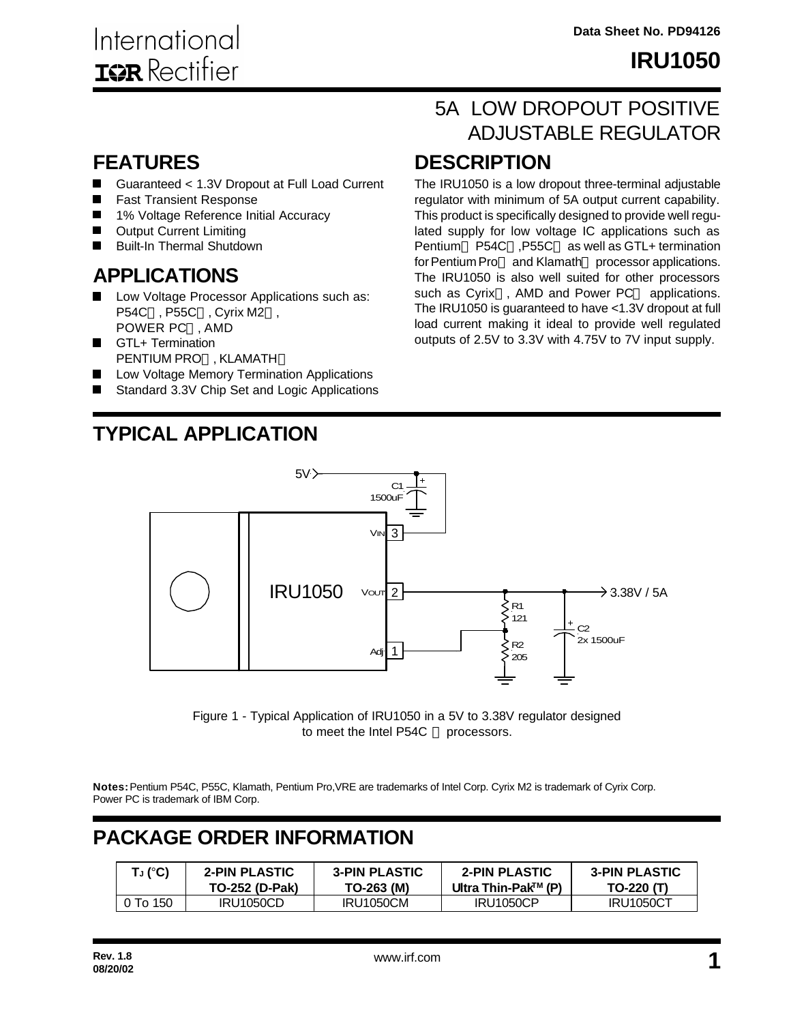### **FEATURES**

- $\blacksquare$ Guaranteed < 1.3V Dropout at Full Load Current
- $\blacksquare$ Fast Transient Response
- 1% Voltage Reference Initial Accuracy  $\blacksquare$
- $\blacksquare$ Output Current Limiting
- Built-In Thermal Shutdown

### **APPLICATIONS**

- Low Voltage Processor Applications such as: P54C™, P55C™, Cyrix M2™, **POWER PC™, AMD**
- **GTL+ Termination** PENTIUM PRO™. KLAMATH™
- Low Voltage Memory Termination Applications
- Standard 3.3V Chip Set and Logic Applications

# **TYPICAL APPLICATION**

## **DESCRIPTION** 5A LOW DROPOUT POSITIVE ADJUSTABLE REGULATOR

The IRU1050 is a low dropout three-terminal adjustable regulator with minimum of 5A output current capability. This product is specifically designed to provide well regulated supply for low voltage IC applications such as Pentium<sup>™</sup> P54C™,P55C™ as well as GTL+ termination for Pentium Pro<sup>™</sup> and Klamath<sup>™</sup> processor applications. The IRU1050 is also well suited for other processors such as Cyrix<sup>™</sup>, AMD and Power PC™ applications. The IRU1050 is guaranteed to have <1.3V dropout at full load current making it ideal to provide well regulated outputs of 2.5V to 3.3V with 4.75V to 7V input supply.



Figure 1 - Typical Application of IRU1050 in a 5V to 3.38V regulator designed to meet the Intel P54C  $TM$  processors.

**Notes:** Pentium P54C, P55C, Klamath, Pentium Pro,VRE are trademarks of Intel Corp. Cyrix M2 is trademark of Cyrix Corp. Power PC is trademark of IBM Corp.

## **PACKAGE ORDER INFORMATION**

| T」 (°C)  | <b>2-PIN PLASTIC</b>  | <b>3-PIN PLASTIC</b> | <b>2-PIN PLASTIC</b> | <b>3-PIN PLASTIC</b> |
|----------|-----------------------|----------------------|----------------------|----------------------|
|          | <b>TO-252 (D-Pak)</b> | TO-263 (M)           | Ultra Thin-Pak™ (P)  | TO-220 (T)           |
| 0 To 150 | <b>IRU1050CD</b>      | <b>IRU1050CM</b>     | <b>IRU1050CP</b>     | <b>IRU1050CT</b>     |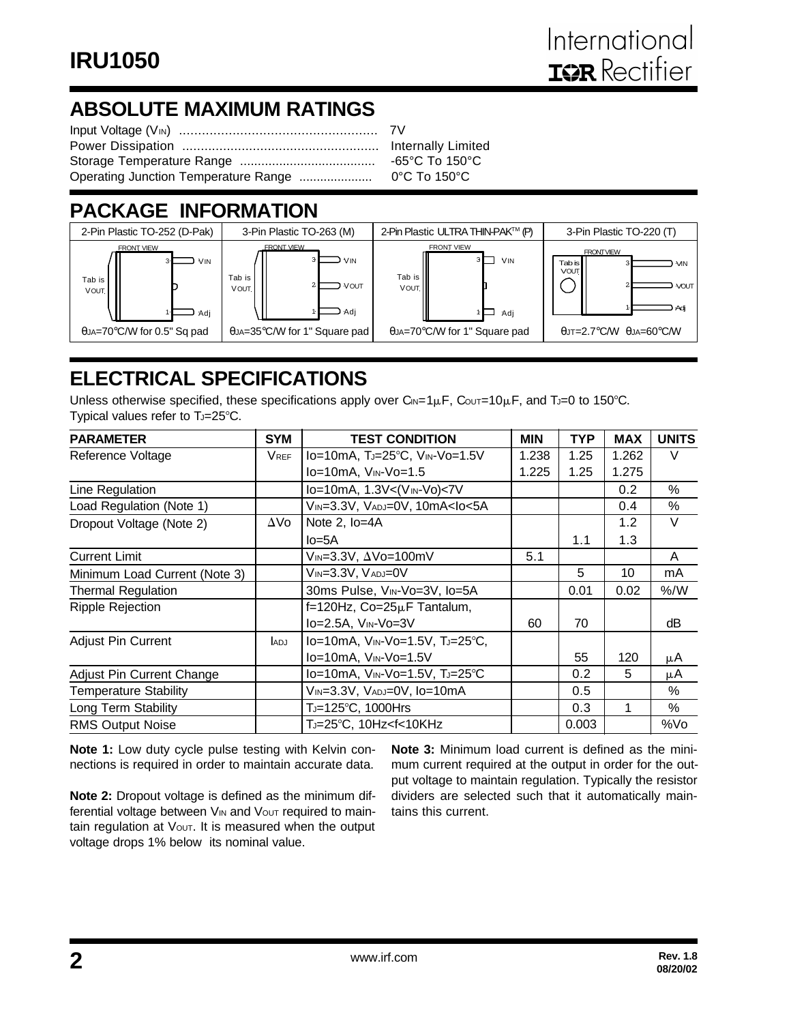# **ABSOLUTE MAXIMUM RATINGS**

# **PACKAGE INFORMATION**



# **ELECTRICAL SPECIFICATIONS**

Unless otherwise specified, these specifications apply over  $C_{IN}=1\mu F$ ,  $C_{OUT}=10\mu F$ , and TJ=0 to 150°C. Typical values refer to  $T_J = 25^\circ \text{C}$ .

| <b>PARAMETER</b>              | <b>SYM</b>  | <b>TEST CONDITION</b>                                                                   | <b>MIN</b> | TYP   | <b>MAX</b> | <b>UNITS</b> |
|-------------------------------|-------------|-----------------------------------------------------------------------------------------|------------|-------|------------|--------------|
| Reference Voltage             | <b>VREF</b> | Io=10mA, TJ=25°C, VIN-Vo=1.5V                                                           | 1.238      | 1.25  | 1.262      | V            |
|                               |             | $Io = 10mA$ , $V_{IN} - Vo = 1.5$                                                       | 1.225      | 1.25  | 1.275      |              |
| Line Regulation               |             | lo=10mA, 1.3V<(VIN-Vo)<7V                                                               |            |       | 0.2        | %            |
| Load Regulation (Note 1)      |             | VIN=3.3V, VADJ=0V, 10mA <lo<5a< td=""><td></td><td></td><td>0.4</td><td>%</td></lo<5a<> |            |       | 0.4        | %            |
| Dropout Voltage (Note 2)      | ΔVo         | Note 2, Io=4A                                                                           |            |       | 1.2        | V            |
|                               |             | $Io=5A$                                                                                 |            | 1.1   | 1.3        |              |
| <b>Current Limit</b>          |             | VIN=3.3V, ∆Vo=100mV                                                                     | 5.1        |       |            | A            |
| Minimum Load Current (Note 3) |             | VIN=3.3V, VADJ=0V                                                                       |            | 5     | 10         | mA           |
| <b>Thermal Regulation</b>     |             | 30ms Pulse, VIN-Vo=3V, Io=5A                                                            |            | 0.01  | 0.02       | % /W         |
| <b>Ripple Rejection</b>       |             | f=120Hz, Co=25µF Tantalum,                                                              |            |       |            |              |
|                               |             | Io=2.5A, VIN-Vo=3V                                                                      | 60         | 70    |            | dВ           |
| Adjust Pin Current            | <b>ADJ</b>  | lo=10mA, VIN-Vo=1.5V, TJ=25°C,                                                          |            |       |            |              |
|                               |             | Io=10mA, VIN-Vo=1.5V                                                                    |            | 55    | 120        | μA           |
| Adjust Pin Current Change     |             | Io=10mA, VIN-Vo=1.5V, TJ=25°C                                                           |            | 0.2   | 5          | μA           |
| <b>Temperature Stability</b>  |             | VIN=3.3V, VADJ=0V, IO=10mA                                                              |            | 0.5   |            | $\%$         |
| Long Term Stability           |             | T」=125°C, 1000Hrs                                                                       |            | 0.3   |            | %            |
| <b>RMS Output Noise</b>       |             | TJ=25℃, 10Hz <f<10khz< td=""><td></td><td>0.003</td><td></td><td>%Vo</td></f<10khz<>    |            | 0.003 |            | %Vo          |

**Note 1:** Low duty cycle pulse testing with Kelvin connections is required in order to maintain accurate data.

**Note 2:** Dropout voltage is defined as the minimum differential voltage between V<sub>IN</sub> and V<sub>OUT</sub> required to maintain regulation at Vout. It is measured when the output voltage drops 1% below its nominal value.

**Note 3:** Minimum load current is defined as the minimum current required at the output in order for the output voltage to maintain regulation. Typically the resistor dividers are selected such that it automatically maintains this current.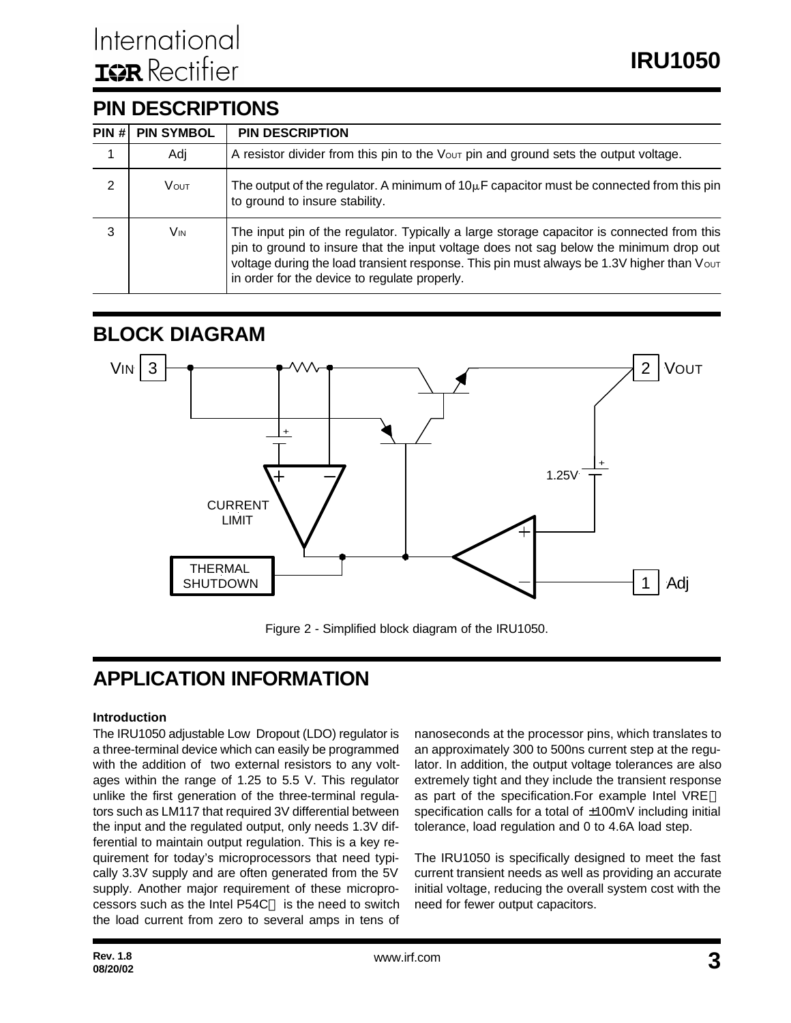### **PIN DESCRIPTIONS**

| PIN H | <b>PIN SYMBOL</b> | <b>PIN DESCRIPTION</b>                                                                                                                                                                                                                                                                                                             |
|-------|-------------------|------------------------------------------------------------------------------------------------------------------------------------------------------------------------------------------------------------------------------------------------------------------------------------------------------------------------------------|
|       | Adi               | A resistor divider from this pin to the Vout pin and ground sets the output voltage.                                                                                                                                                                                                                                               |
| 2     | <b>VOUT</b>       | The output of the regulator. A minimum of $10\mu$ F capacitor must be connected from this pin<br>to ground to insure stability.                                                                                                                                                                                                    |
| 3     | Vin               | The input pin of the regulator. Typically a large storage capacitor is connected from this<br>pin to ground to insure that the input voltage does not sag below the minimum drop out<br>voltage during the load transient response. This pin must always be 1.3V higher than Vour<br>in order for the device to regulate properly. |

### **BLOCK DIAGRAM**



Figure 2 - Simplified block diagram of the IRU1050.

## **APPLICATION INFORMATION**

#### **Introduction**

The IRU1050 adjustable Low Dropout (LDO) regulator is a three-terminal device which can easily be programmed with the addition of two external resistors to any voltages within the range of 1.25 to 5.5 V. This regulator unlike the first generation of the three-terminal regulators such as LM117 that required 3V differential between the input and the regulated output, only needs 1.3V differential to maintain output regulation. This is a key requirement for today's microprocessors that need typically 3.3V supply and are often generated from the 5V supply. Another major requirement of these microprocessors such as the Intel P54C™ is the need to switch the load current from zero to several amps in tens of nanoseconds at the processor pins, which translates to an approximately 300 to 500ns current step at the regulator. In addition, the output voltage tolerances are also extremely tight and they include the transient response as part of the specification.For example Intel VRE™ specification calls for a total of  $\pm 100$ mV including initial tolerance, load regulation and 0 to 4.6A load step.

The IRU1050 is specifically designed to meet the fast current transient needs as well as providing an accurate initial voltage, reducing the overall system cost with the need for fewer output capacitors.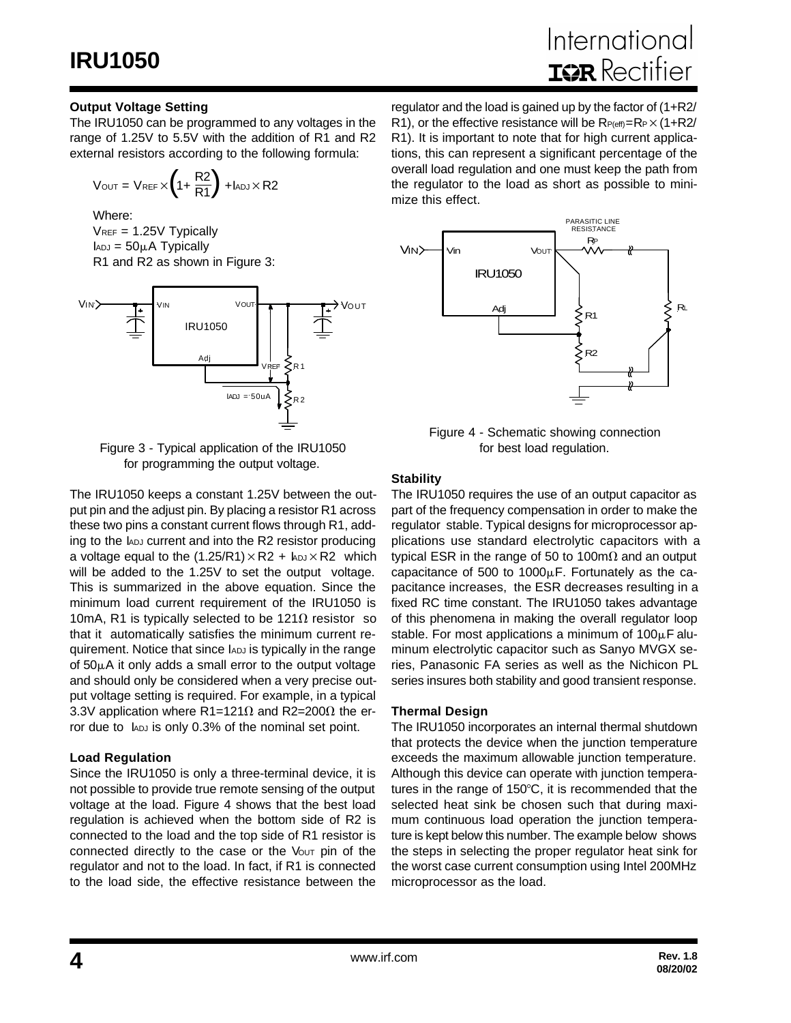#### **Output Voltage Setting**

The IRU1050 can be programmed to any voltages in the range of 1.25V to 5.5V with the addition of R1 and R2 external resistors according to the following formula:

$$
V_{\text{OUT}} = V_{\text{REF}} \times \left(1 + \frac{R2}{R1}\right) + I_{\text{ADJ}} \times R2
$$

Where:

 $V_{REF}$  = 1.25V Typically  $I_{ADJ} = 50 \mu A$  Typically R1 and R2 as shown in Figure 3:



Figure 3 - Typical application of the IRU1050 for programming the output voltage.

The IRU1050 keeps a constant 1.25V between the output pin and the adjust pin. By placing a resistor R1 across these two pins a constant current flows through R1, adding to the IADJ current and into the R2 resistor producing a voltage equal to the  $(1.25/R1) \times R2 +$  kpJ $\times$ R2 which will be added to the 1.25V to set the output voltage. This is summarized in the above equation. Since the minimum load current requirement of the IRU1050 is 10mA, R1 is typically selected to be 121 $\Omega$  resistor so that it automatically satisfies the minimum current requirement. Notice that since IADJ is typically in the range of  $50\mu$ A it only adds a small error to the output voltage and should only be considered when a very precise output voltage setting is required. For example, in a typical 3.3V application where R1=121 $\Omega$  and R2=200 $\Omega$  the error due to  $I_{ADJ}$  is only 0.3% of the nominal set point.

#### **Load Regulation**

Since the IRU1050 is only a three-terminal device, it is not possible to provide true remote sensing of the output voltage at the load. Figure 4 shows that the best load regulation is achieved when the bottom side of R2 is connected to the load and the top side of R1 resistor is connected directly to the case or the  $V_{\text{OUT}}$  pin of the regulator and not to the load. In fact, if R1 is connected to the load side, the effective resistance between the

regulator and the load is gained up by the factor of (1+R2/ R1), or the effective resistance will be  $R_{P(eff)}=R_P\times(1+R_2/3)$ R1). It is important to note that for high current applications, this can represent a significant percentage of the overall load regulation and one must keep the path from the regulator to the load as short as possible to minimize this effect.



Figure 4 - Schematic showing connection for best load regulation.

#### **Stability**

The IRU1050 requires the use of an output capacitor as part of the frequency compensation in order to make the regulator stable. Typical designs for microprocessor applications use standard electrolytic capacitors with a typical ESR in the range of 50 to 100m $\Omega$  and an output capacitance of 500 to  $1000\mu$ F. Fortunately as the capacitance increases, the ESR decreases resulting in a fixed RC time constant. The IRU1050 takes advantage of this phenomena in making the overall regulator loop stable. For most applications a minimum of  $100\mu$ F aluminum electrolytic capacitor such as Sanyo MVGX series, Panasonic FA series as well as the Nichicon PL series insures both stability and good transient response.

#### **Thermal Design**

The IRU1050 incorporates an internal thermal shutdown that protects the device when the junction temperature exceeds the maximum allowable junction temperature. Although this device can operate with junction temperatures in the range of  $150^{\circ}$ C, it is recommended that the selected heat sink be chosen such that during maximum continuous load operation the junction temperature is kept below this number. The example below shows the steps in selecting the proper regulator heat sink for the worst case current consumption using Intel 200MHz microprocessor as the load.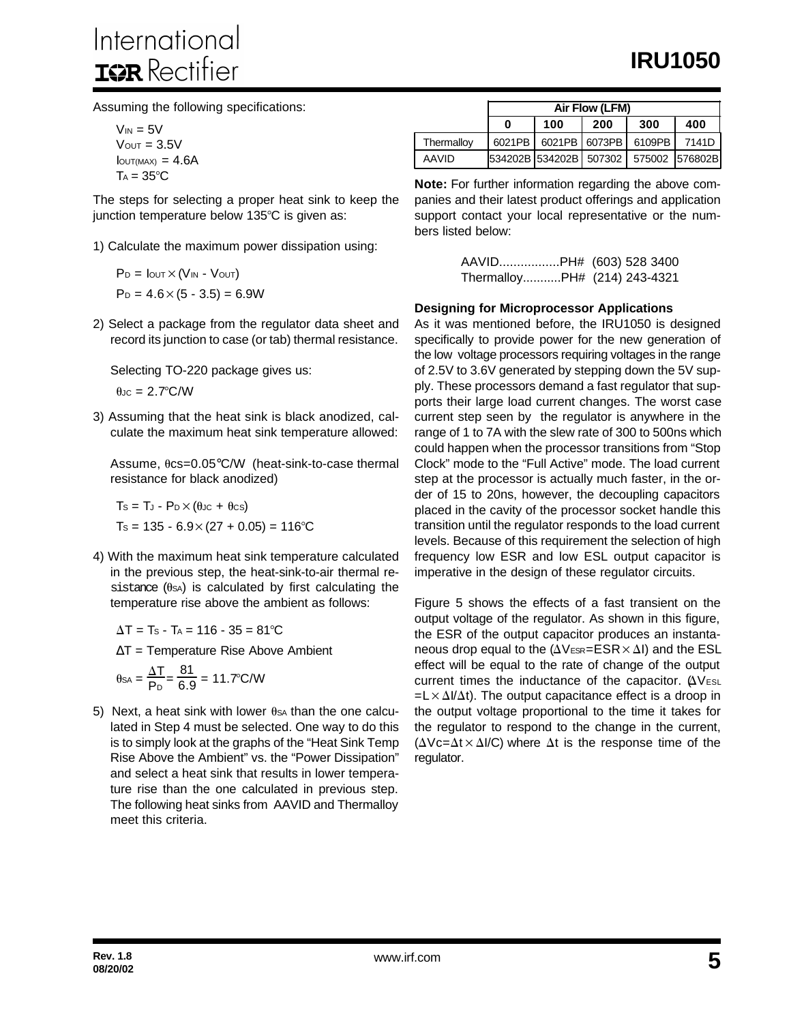Assuming the following specifications:

 $V_{IN} = 5V$  $V<sub>OUT</sub> = 3.5V$  $I<sub>OUT(MAX)</sub> = 4.6A$  $T_A = 35^{\circ}C$ 

The steps for selecting a proper heat sink to keep the junction temperature below  $135^{\circ}$ C is given as:

1) Calculate the maximum power dissipation using:

 $P_D = I_{OUT} \times (V_{IN} - V_{OUT})$  $P_D = 4.6 \times (5 - 3.5) = 6.9W$ 

2) Select a package from the regulator data sheet and record its junction to case (or tab) thermal resistance.

Selecting TO-220 package gives us:

 $\theta$ JC = 2.7°C/W

3) Assuming that the heat sink is black anodized, calculate the maximum heat sink temperature allowed:

Assume,  $0.05^{\circ}$ C/W (heat-sink-to-case thermal resistance for black anodized)

$$
Ts = T_J - P_D \times (0 \text{Jc} + 0 \text{cs})
$$

$$
Ts = 135 - 6.9 \times (27 + 0.05) = 116^{\circ}\text{C}
$$

4) With the maximum heat sink temperature calculated in the previous step, the heat-sink-to-air thermal resistance  $(0s)$  is calculated by first calculating the temperature rise above the ambient as follows:

 $\Delta T = Ts - Ta = 116 - 35 = 81^{\circ}C$ 

 $\Delta T$  = Temperature Rise Above Ambient

$$
\theta_{SA} = \frac{\Delta T}{P_D} = \frac{81}{6.9} = 11.7^{\circ}C/W
$$

5) Next, a heat sink with lower  $\theta$ sa than the one calculated in Step 4 must be selected. One way to do this is to simply look at the graphs of the "Heat Sink Temp Rise Above the Ambient" vs. the "Power Dissipation" and select a heat sink that results in lower temperature rise than the one calculated in previous step. The following heat sinks from AAVID and Thermalloy meet this criteria.

|            | Air Flow (LFM) |                        |               |        |                |
|------------|----------------|------------------------|---------------|--------|----------------|
|            | 0              | 100                    | 200           | 300    | 400            |
| Thermalloy | 6021PB         |                        | 6021PB 6073PB | 6109PB | 7141D          |
| AAVID      |                | 534202B 534202B 507302 |               |        | 575002 576802B |

**Note:** For further information regarding the above companies and their latest product offerings and application support contact your local representative or the numbers listed below:

> AAVID.................PH# (603) 528 3400 Thermalloy...........PH# (214) 243-4321

#### **Designing for Microprocessor Applications**

As it was mentioned before, the IRU1050 is designed specifically to provide power for the new generation of the low voltage processors requiring voltages in the range of 2.5V to 3.6V generated by stepping down the 5V supply. These processors demand a fast regulator that supports their large load current changes. The worst case current step seen by the regulator is anywhere in the range of 1 to 7A with the slew rate of 300 to 500ns which could happen when the processor transitions from "Stop Clock" mode to the "Full Active" mode. The load current step at the processor is actually much faster, in the order of 15 to 20ns, however, the decoupling capacitors placed in the cavity of the processor socket handle this transition until the regulator responds to the load current levels. Because of this requirement the selection of high frequency low ESR and low ESL output capacitor is imperative in the design of these regulator circuits.

Figure 5 shows the effects of a fast transient on the output voltage of the regulator. As shown in this figure, the ESR of the output capacitor produces an instantaneous drop equal to the  $(\Delta V_{ESR} = ESR \times \Delta I)$  and the ESL effect will be equal to the rate of change of the output current times the inductance of the capacitor.  $\Delta V_{ESL}$  $= L \times \Delta I/\Delta t$ ). The output capacitance effect is a droop in the output voltage proportional to the time it takes for the regulator to respond to the change in the current,  $(\Delta Vc=\Delta t \times \Delta I/C)$  where  $\Delta t$  is the response time of the regulator.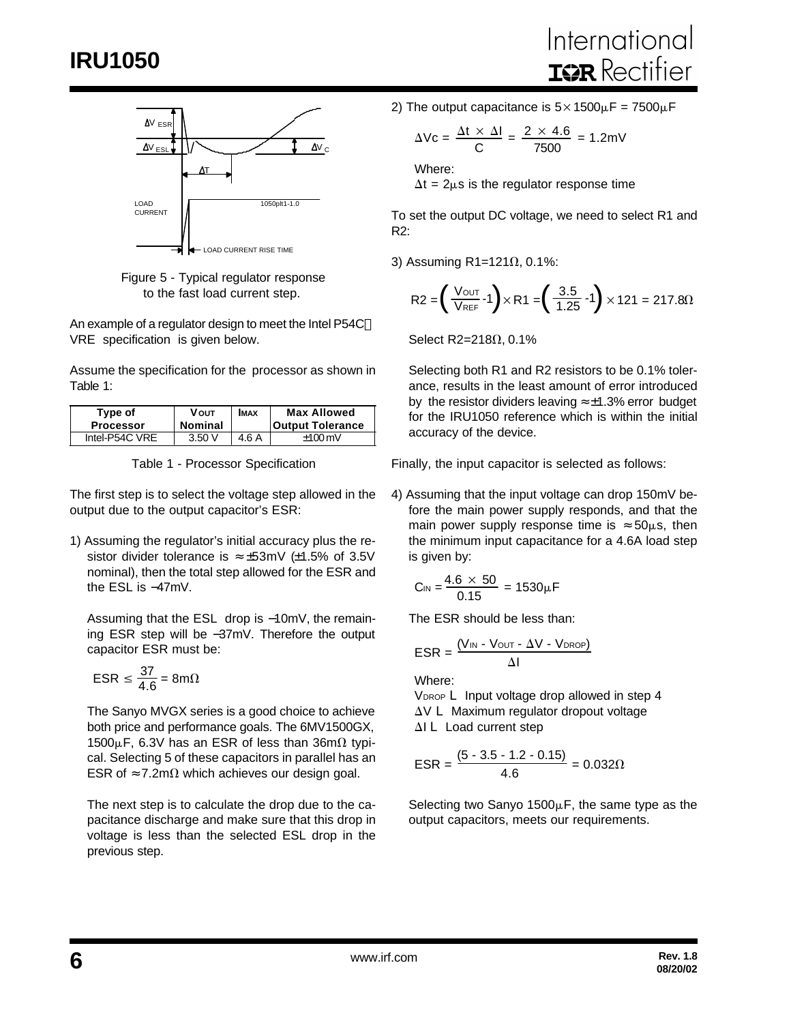

Figure 5 - Typical regulator response to the fast load current step.

An example of a regulator design to meet the Intel P54C™ VRE specification is given below.

Assume the specification for the processor as shown in Table 1:

| Type of          | <b>V</b> ουτ   | <b>IMAX</b> | <b>Max Allowed</b>      |
|------------------|----------------|-------------|-------------------------|
| <b>Processor</b> | <b>Nominal</b> |             | <b>Output Tolerance</b> |
| Intel-P54C VRE   | 3.50V          | 4.6 A       | $±100 \,\mathrm{mV}$    |

Table 1 - Processor Specification

The first step is to select the voltage step allowed in the output due to the output capacitor's ESR:

1) Assuming the regulator's initial accuracy plus the resistor divider tolerance is  $\approx \pm 53$ mV ( $\pm 1.5$ % of 3.5V nominal), then the total step allowed for the ESR and the ESL is −47mV.

Assuming that the ESL drop is −10mV, the remaining ESR step will be −37mV. Therefore the output capacitor ESR must be:

$$
\mathsf{ESR} \le \frac{37}{4.6} = 8 \mathsf{m}\Omega
$$

The Sanyo MVGX series is a good choice to achieve both price and performance goals. The 6MV1500GX,  $1500\mu$ F, 6.3V has an ESR of less than 36m $\Omega$  typical. Selecting 5 of these capacitors in parallel has an ESR of  $\approx$  7.2m $\Omega$  which achieves our design goal.

The next step is to calculate the drop due to the capacitance discharge and make sure that this drop in voltage is less than the selected ESL drop in the previous step.

2) The output capacitance is  $5 \times 1500 \mu$ F = 7500 $\mu$ F

$$
\Delta \text{Vc} = \frac{\Delta t \times \Delta I}{C} = \frac{2 \times 4.6}{7500} = 1.2 \text{mV}
$$

Where: 
$$
\Delta t = 2\mu s
$$
 is the regulator response time

To set the output DC voltage, we need to select R1 and R2:

3) Assuming R1=121 $\Omega$ , 0.1%:

$$
R2 = \left(\frac{V_{OUT}}{V_{REF}} - 1\right) \times R1 = \left(\frac{3.5}{1.25} - 1\right) \times 121 = 217.8 \Omega
$$

Select R2=218 $\Omega$ , 0.1%

Selecting both R1 and R2 resistors to be 0.1% tolerance, results in the least amount of error introduced by the resistor dividers leaving  $\approx \pm 1.3\%$  error budget for the IRU1050 reference which is within the initial accuracy of the device.

Finally, the input capacitor is selected as follows:

4) Assuming that the input voltage can drop 150mV before the main power supply responds, and that the main power supply response time is  $\approx 50 \mu s$ , then the minimum input capacitance for a 4.6A load step is given by:

$$
C_{\text{IN}} = \frac{4.6 \times 50}{0.15} = 1530 \mu F
$$

The ESR should be less than:

$$
ESR = \frac{(V_{IN} - V_{OUT} - \Delta V - V_{DROP})}{\Delta I}
$$

Where:

V<sub>DROP</sub> L Input voltage drop allowed in step 4  $\Delta V$  L Maximum regulator dropout voltage  $\Delta I$  L Load current step

$$
ESR = \frac{(5 - 3.5 - 1.2 - 0.15)}{4.6} = 0.032\Omega
$$

Selecting two Sanyo  $1500\mu$ F, the same type as the output capacitors, meets our requirements.

**6**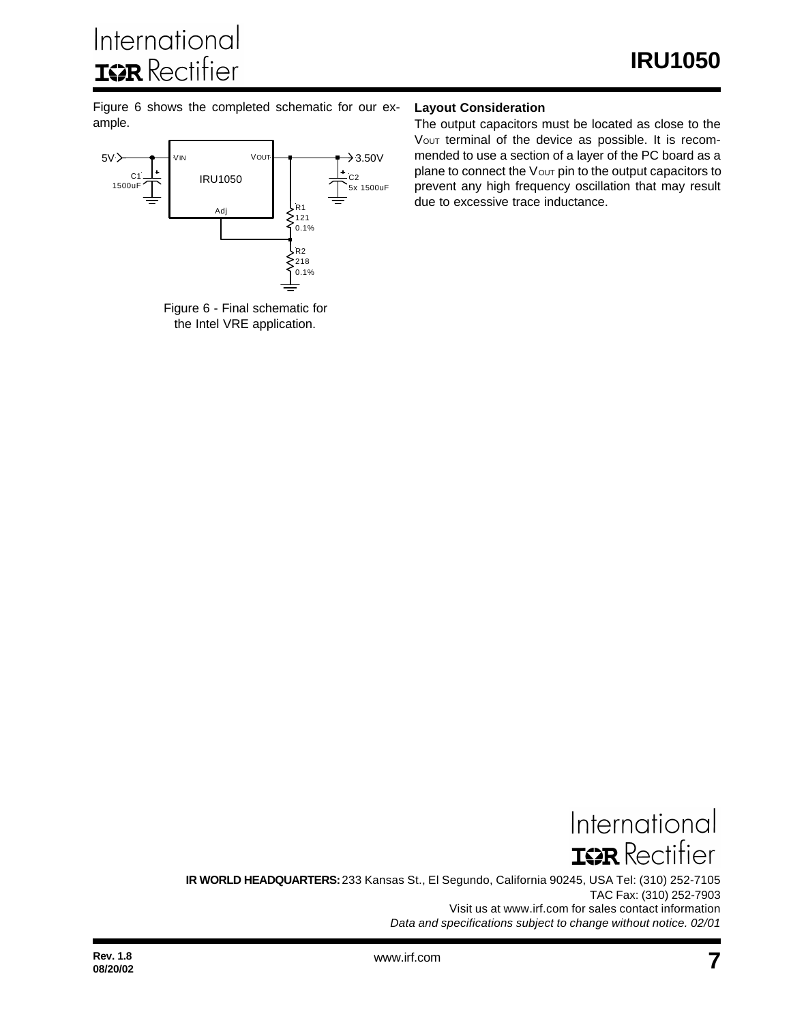Figure 6 shows the completed schematic for our example.





#### **Layout Consideration**

The output capacitors must be located as close to the Vout terminal of the device as possible. It is recommended to use a section of a layer of the PC board as a plane to connect the  $V$ <sub>OUT</sub> pin to the output capacitors to prevent any high frequency oscillation that may result due to excessive trace inductance.

International **IGR** Rectifier **IR WORLD HEADQUARTERS:** 233 Kansas St., El Segundo, California 90245, USA Tel: (310) 252-7105

TAC Fax: (310) 252-7903 Visit us at www.irf.com for sales contact information *Data and specifications subject to change without notice. 02/01*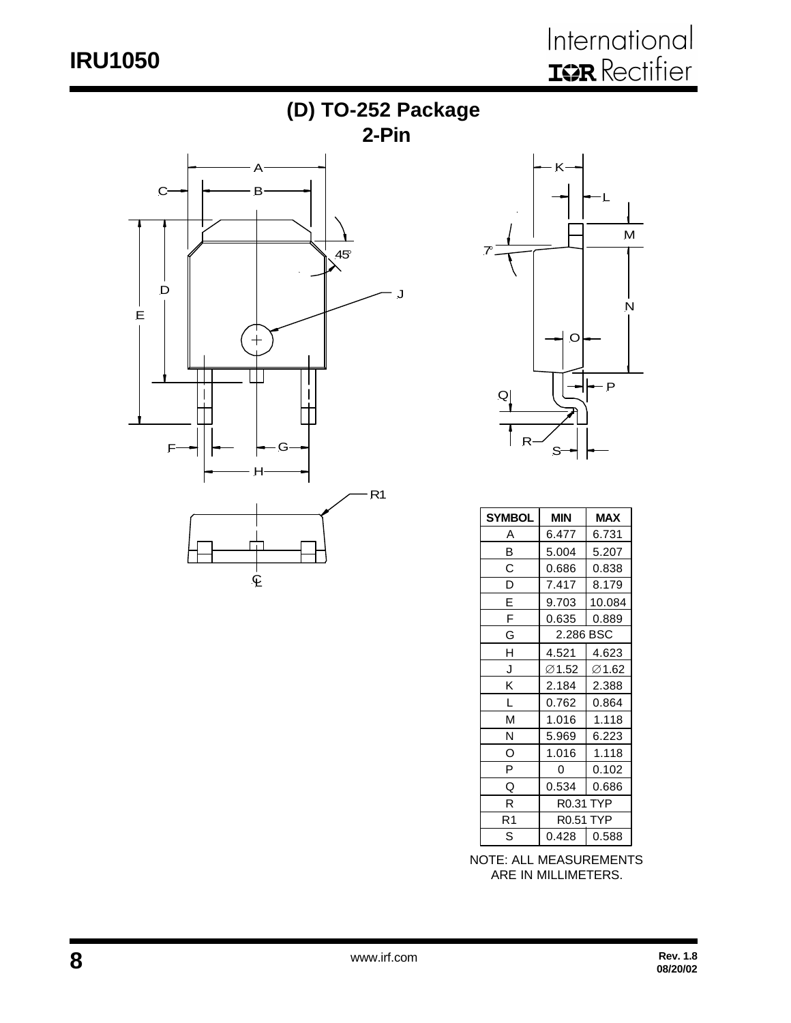# **IRU1050**





| <b>SYMBOL</b> | <b>MIN</b><br><b>MAX</b> |        |
|---------------|--------------------------|--------|
| Α             | 6.477                    | 6.731  |
| B             | 5.004                    | 5.207  |
| С             | 0.686                    | 0.838  |
| D             | 7.417                    | 8.179  |
| E             | 9.703                    | 10.084 |
| F             | 0.635                    | 0.889  |
| G             | 2.286 BSC                |        |
| Н             | 4.521                    | 4.623  |
| J             | ∅1.52                    | ∅1.62  |
| Κ             | 2.184                    | 2.388  |
| L             | 0.762                    | 0.864  |
| М             | 1.016                    | 1.118  |
| N             | 5.969                    | 6.223  |
| O             | 1.016                    | 1.118  |
| P             | 0                        | 0.102  |
| Q             | 0.534                    | 0.686  |
| R             | <b>R0.31 TYP</b>         |        |
| R1            | <b>R0.51 TYP</b>         |        |
| S             | 0.428                    | 0.588  |

NOTE: ALL MEASUREMENTS ARE IN MILLIMETERS.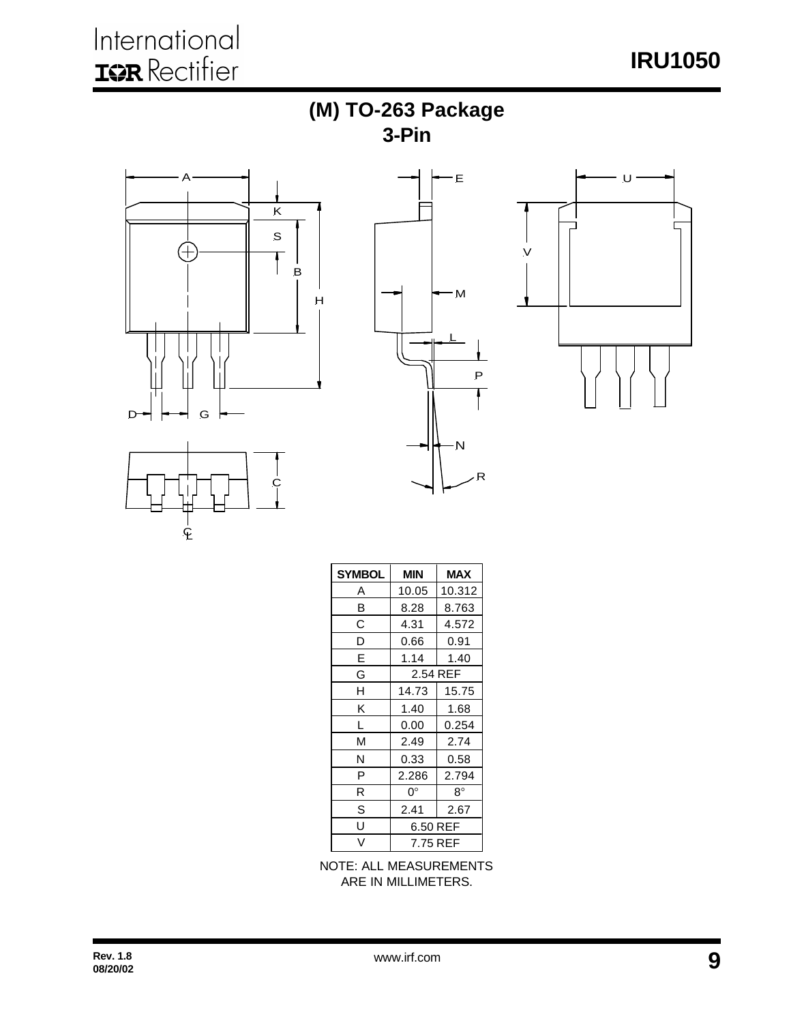









| <b>SYMBOL</b> | <b>MIN</b><br><b>MAX</b> |           |  |  |
|---------------|--------------------------|-----------|--|--|
| Α             | 10.05                    | 10.312    |  |  |
| B             | 8.28                     | 8.763     |  |  |
| С             | 4.31                     | 4.572     |  |  |
| D             | 0.66                     | 0.91      |  |  |
| E             | 1.14                     | 1.40      |  |  |
| G             | 2.54 REF                 |           |  |  |
| н             | 14.73                    | 15.75     |  |  |
| κ             | 1.40                     | 1.68      |  |  |
| L             | 0.00                     | 0.254     |  |  |
| М             | 2.49                     | 2.74      |  |  |
| N             | 0.33                     | 0.58      |  |  |
| P             | 2.286                    | 2.794     |  |  |
| R             | 0°                       | $8^\circ$ |  |  |
| S             | 2.41<br>2.67             |           |  |  |
| Ù             | 6.50 REF                 |           |  |  |
| V             | 7.75 REF                 |           |  |  |

NOTE: ALL MEASUREMENTS ARE IN MILLIMETERS.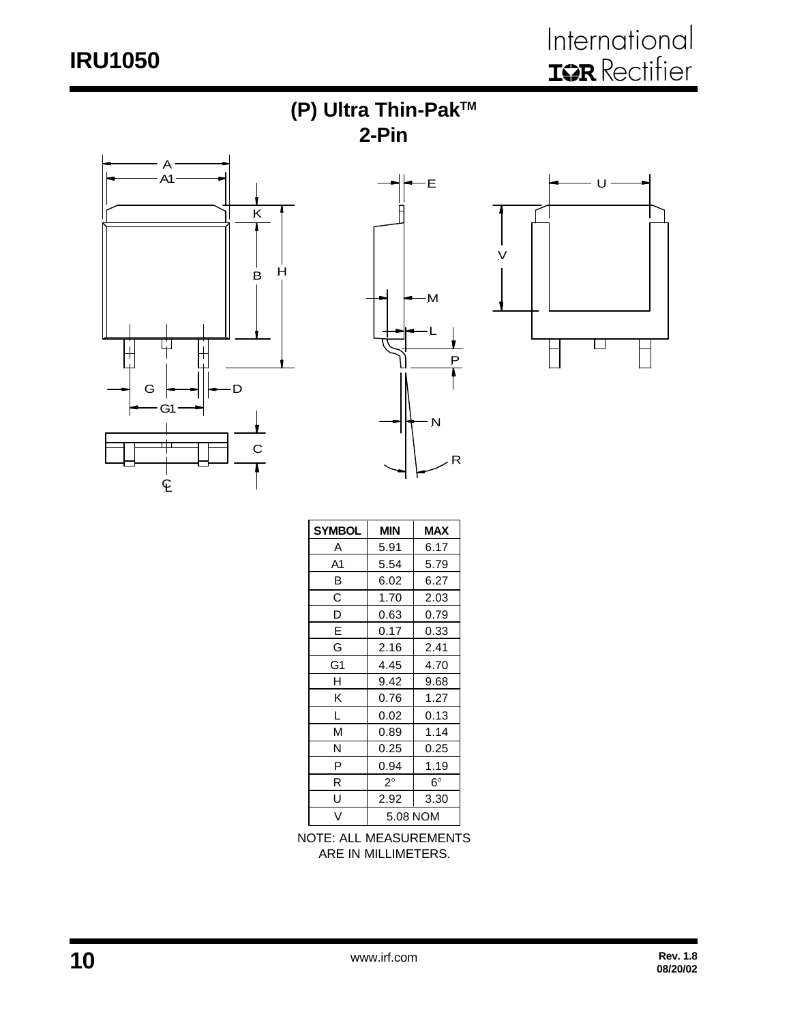# **IRU1050**









| <b>SYMBOL</b> | <b>MAX</b><br><b>MIN</b> |             |  |
|---------------|--------------------------|-------------|--|
| Α             | 5.91                     | 6.17        |  |
| A1            | 5.54                     | 5.79        |  |
| B             | 6.02                     | 6.27        |  |
| С             | 1.70                     | 2.03        |  |
| D             | 0.63                     | 0.79        |  |
| E             | 0.17                     | 0.33        |  |
| G             | 2.16                     | 2.41        |  |
| G1            | 4.45                     | 4.70        |  |
| н             | 9.42                     | 9.68        |  |
| Κ             | 0.76                     | 1.27        |  |
| L             | 0.02                     | 0.13        |  |
| М             | 0.89                     | 1.14        |  |
| N             | 0.25                     | 0.25        |  |
| P             | 0.94                     | 1.19        |  |
| R             | $2^{\circ}$              | $6^{\circ}$ |  |
| U             | 2.92                     | 3.30        |  |
| V             | 5.08 NOM                 |             |  |

NOTE: ALL MEASUREMENTS ARE IN MILLIMETERS.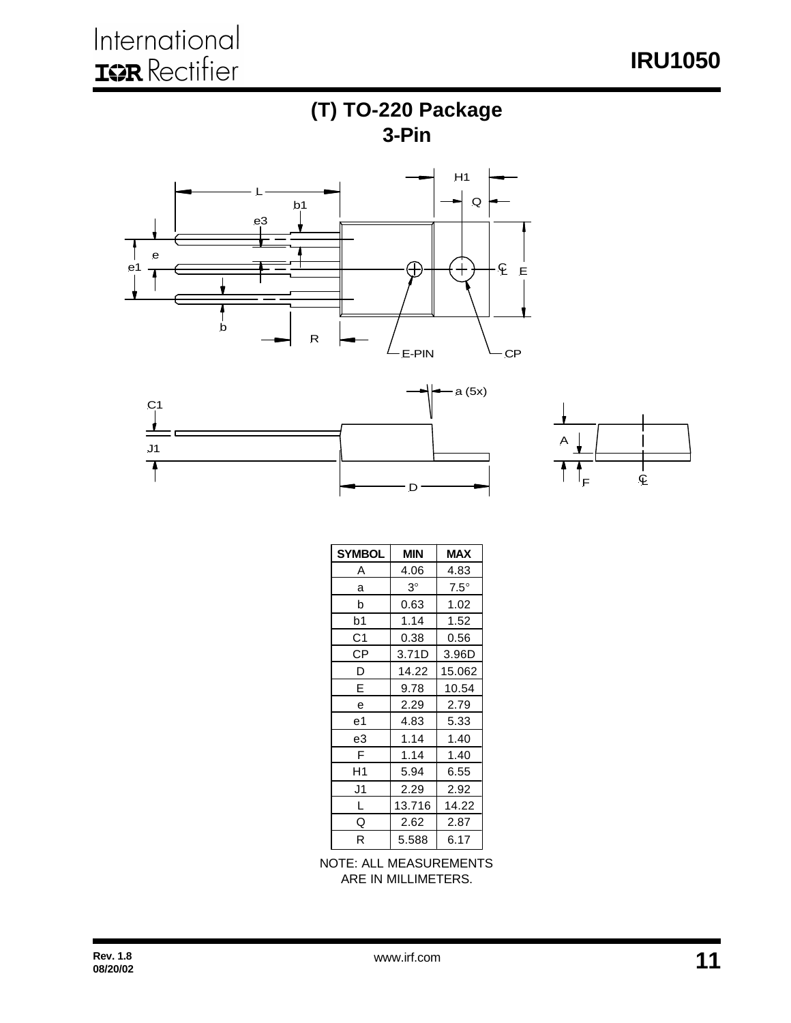**IRU1050**





| <b>SYMBOL</b> | MIN       | <b>MAX</b>  |
|---------------|-----------|-------------|
| Α             | 4.06      | 4.83        |
| a             | $3^\circ$ | $7.5^\circ$ |
| b             | 0.63      | 1.02        |
| b1            | 1.14      | 1.52        |
| C1            | 0.38      | 0.56        |
| СP            | 3.71D     | 3.96D       |
| D             | 14.22     | 15.062      |
| E             | 9.78      | 10.54       |
| е             | 2.29      | 2.79        |
| е1            | 4.83      | 5.33        |
| e3            | 1.14      | 1.40        |
| F             | 1.14      | 1.40        |
| H1            | 5.94      | 6.55        |
| J1            | 2.29      | 2.92        |
| L             | 13.716    | 14.22       |
| Q             | 2.62      | 2.87        |
| R             | 5.588     | 6.17        |

 $\mathsf D$ 

NOTE: ALL MEASUREMENTS ARE IN MILLIMETERS.